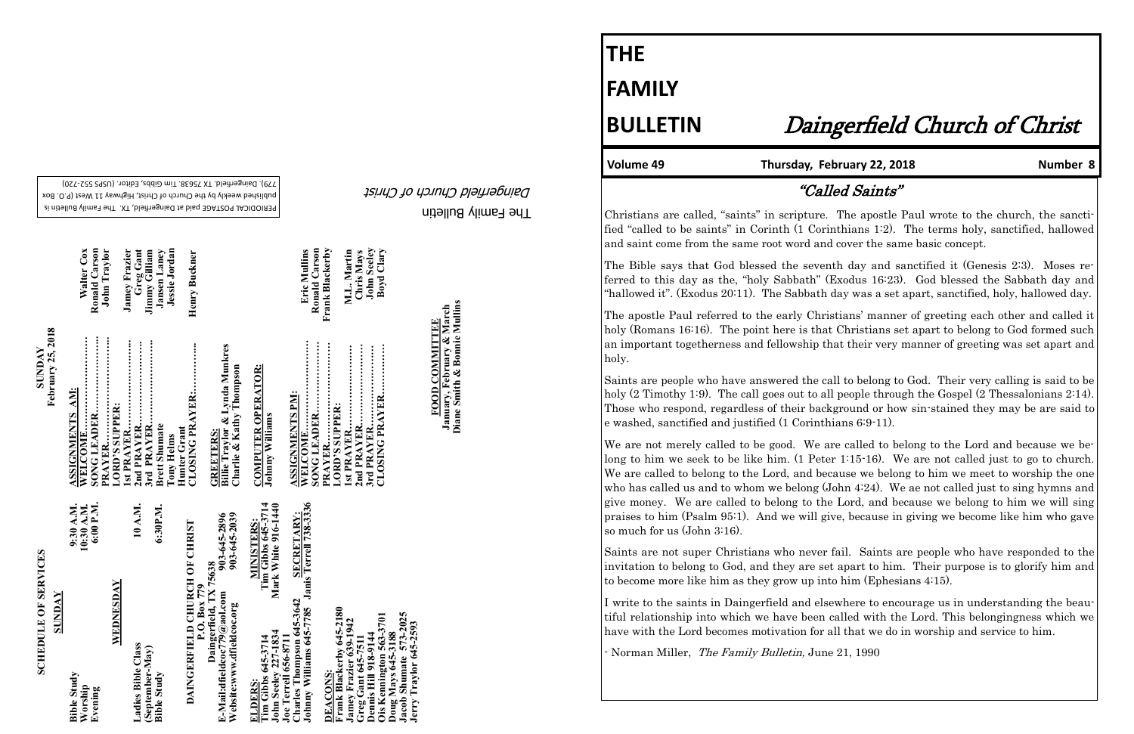The Family Bulletin Daingerfield Church of Christ

# **SCHEDULE OF SERVICES SCHEDULE OF SERVICES**

PERIODICAL POSTAGE paid at Daingerfield, TX. The Family Bulletin is published weekly by the Church of Christ, Highway 11 West (P.O. Box 720) - 779). Daingerfield. TX 75638. Tim Gibbs, Editor. (USPS 552

| <b>SCHEDULE OF SERVICES</b>                                                                                                        | <b>SUNDAY</b>                                                                  |                                  |
|------------------------------------------------------------------------------------------------------------------------------------|--------------------------------------------------------------------------------|----------------------------------|
| <b>SUNDAY</b>                                                                                                                      | February 25, 2018                                                              |                                  |
| 9:30 A.M.<br>10:30 A.M.<br><b>Bible Study</b><br>Worship                                                                           | ASSIGNMENTS AM:<br>WELCOME                                                     | Walter Cox                       |
| 6:00 P.M.<br>Evening                                                                                                               | PRAYER                                                                         | Ronald Carson<br>John Traylor    |
| WEDNESDAY                                                                                                                          | <br><b>LORD'S SUPPER:</b>                                                      |                                  |
| Ladies Bible Class                                                                                                                 |                                                                                | <b>Jamey Frazier</b>             |
| 10 A.M.<br>(September-May)                                                                                                         | 3rd PRAYER                                                                     | Greg Gant<br>Jimmy Gilliam       |
| 6:30P.M.<br><b>Bible Study</b>                                                                                                     | <b>Brett Shumate</b>                                                           | <b>Jansen Laney</b>              |
|                                                                                                                                    | Hunter Grant<br><b>Tony Helms</b>                                              | Jessie Jordan                    |
| DAINGERFIELD CHURCH OF CHRIST                                                                                                      | CLOSING PRAYER:                                                                | Henry Buckner                    |
| 903-645-2039<br>903-645-2896<br>Daingerfield, TX 75638<br>P.O. Box 779<br>E-Mail:dfieldcoc779@aol.com<br>Website:www.dfieldcoc.org | Billie Traylor & Lynda Munkres<br>Charlie & Kathy Thompson<br><b>GREETERS:</b> |                                  |
| Tim Gibbs 645-3714<br><b>MINISTERS:</b><br>Tim Gibbs 645-3714<br>ELDERS:                                                           | <b>COMPUTER OPERATOR:</b><br><b>Johnny Williams</b>                            |                                  |
| Mark White 916-1440<br><b>John Seeley 227-1834</b><br><b>Joe Terrell 656-8711</b>                                                  |                                                                                |                                  |
| Johnny Williams 645-7785 Janis Terrell 738-3336<br><b>SECRETARY:</b><br>Charles Thompson 645-3642                                  | <b>ASSIGNMENTS PM:</b>                                                         | Eric Mullins                     |
| <b>DEACONS:</b>                                                                                                                    | PRAYER                                                                         | Frank Blackerby<br>Ronald Carson |
| Frank Blackerby 645-2180                                                                                                           | LORD'S SUPPER:                                                                 |                                  |
| Jamey Frazier 639-1942                                                                                                             | <b>Ist PRAYER</b>                                                              | M.L. Martin<br>Chris Mays        |
| Dennis Hill 918-9144<br>Greg Gant 645-7511                                                                                         | 3rd PRAYER                                                                     | <b>John Seeley</b>               |
| Ois Kennington 563-3701<br>Doug Mays 645-3188                                                                                      | CLOSING PRAYER                                                                 | Boyd Clary                       |
| Jacob Shumate 573-2025<br>Jerry Traylor 645-2593                                                                                   |                                                                                |                                  |

**FOOD COMMITTEE January, February & March Diane Smith & Bonnie Mullins**

**FOOD COMMITTEE**<br>January, February & March<br>Diane Smith & Bonnie Mullins

**THE**

**FAMILY**

## **BULLETIN** Daingerfield Church of Christ

#### Volume 49 Thursday, February 22, 2018 **Number 8**

We are not merely called to be good. We are called to belong to the Lord and because we belong to him we seek to be like him. (1 Peter 1:15-16). We are not called just to go to church. We are called to belong to the Lord, and because we belong to him we meet to worship the one who has called us and to whom we belong (John 4:24). We ae not called just to sing hymns and give money. We are called to belong to the Lord, and because we belong to him we will sing praises to him (Psalm 95:1). And we will give, because in giving we become like him who gave so much for us (John 3:16).

## "Called Saints"

Christians are called, "saints" in scripture. The apostle Paul wrote to the church, the sanctified "called to be saints" in Corinth (1 Corinthians 1:2). The terms holy, sanctified, hallowed and saint come from the same root word and cover the same basic concept.

The Bible says that God blessed the seventh day and sanctified it (Genesis 2:3). Moses referred to this day as the, "holy Sabbath" (Exodus 16:23). God blessed the Sabbath day and "hallowed it". (Exodus 20:11). The Sabbath day was a set apart, sanctified, holy, hallowed day.

The apostle Paul referred to the early Christians' manner of greeting each other and called it holy (Romans 16:16). The point here is that Christians set apart to belong to God formed such an important togetherness and fellowship that their very manner of greeting was set apart and holy.

Saints are people who have answered the call to belong to God. Their very calling is said to be holy (2 Timothy 1:9). The call goes out to all people through the Gospel (2 Thessalonians 2:14). Those who respond, regardless of their background or how sin-stained they may be are said to e washed, sanctified and justified (1 Corinthians 6:9-11).

Saints are not super Christians who never fail. Saints are people who have responded to the invitation to belong to God, and they are set apart to him. Their purpose is to glorify him and to become more like him as they grow up into him (Ephesians 4:15).

I write to the saints in Daingerfield and elsewhere to encourage us in understanding the beautiful relationship into which we have been called with the Lord. This belongingness which we have with the Lord becomes motivation for all that we do in worship and service to him.

- Norman Miller, The Family Bulletin, June 21, 1990